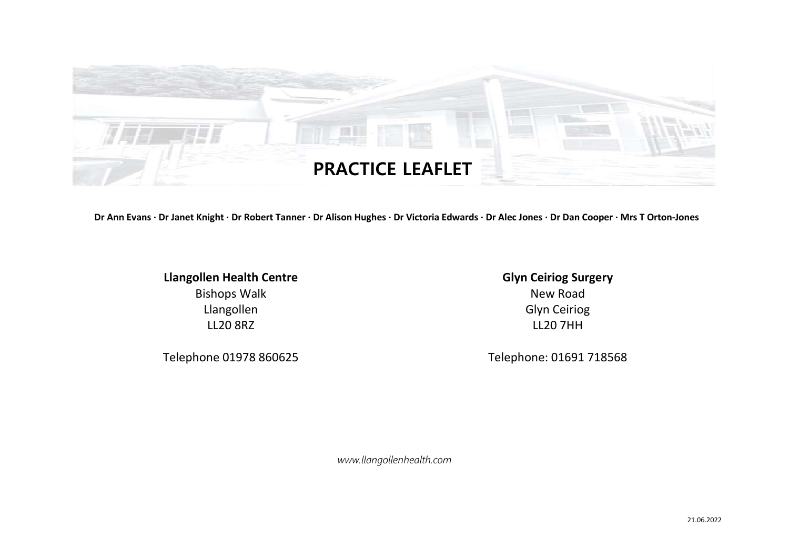

Dr Ann Evans · Dr Janet Knight · Dr Robert Tanner · Dr Alison Hughes · Dr Victoria Edwards · Dr Alec Jones · Dr Dan Cooper · Mrs T Orton-Jones

**Llangollen Health Centre** Bishops Walk Llangollen LL20 8RZ

**Glyn Ceiriog Surgery** New Road Glyn Ceiriog LL20 7HH

Telephone 01978 860625 Telephone: 01691 718568

*www.llangollenhealth.com*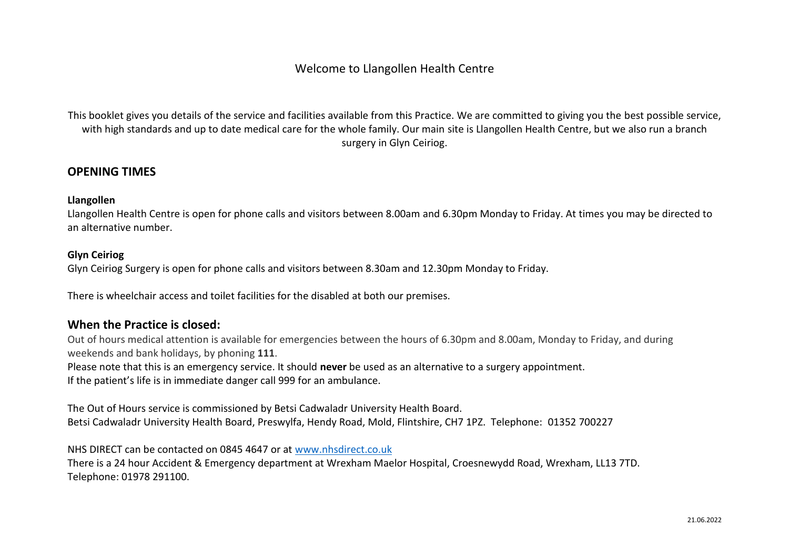# Welcome to Llangollen Health Centre

This booklet gives you details of the service and facilities available from this Practice. We are committed to giving you the best possible service, with high standards and up to date medical care for the whole family. Our main site is Llangollen Health Centre, but we also run a branch surgery in Glyn Ceiriog.

## **OPENING TIMES**

## **Llangollen**

Llangollen Health Centre is open for phone calls and visitors between 8.00am and 6.30pm Monday to Friday. At times you may be directed to an alternative number.

### **Glyn Ceiriog**

Glyn Ceiriog Surgery is open for phone calls and visitors between 8.30am and 12.30pm Monday to Friday.

There is wheelchair access and toilet facilities for the disabled at both our premises.

## **When the Practice is closed:**

Out of hours medical attention is available for emergencies between the hours of 6.30pm and 8.00am, Monday to Friday, and during weekends and bank holidays, by phoning **111**.

Please note that this is an emergency service. It should **never** be used as an alternative to a surgery appointment. If the patient's life is in immediate danger call 999 for an ambulance.

The Out of Hours service is commissioned by Betsi Cadwaladr University Health Board. Betsi Cadwaladr University Health Board, Preswylfa, Hendy Road, Mold, Flintshire, CH7 1PZ. Telephone: 01352 700227

NHS DIRECT can be contacted on 0845 4647 or at [www.nhsdirect.co.uk](http://www.nhsdirect.co.uk/) There is a 24 hour Accident & Emergency department at Wrexham Maelor Hospital, Croesnewydd Road, Wrexham, LL13 7TD. Telephone: 01978 291100.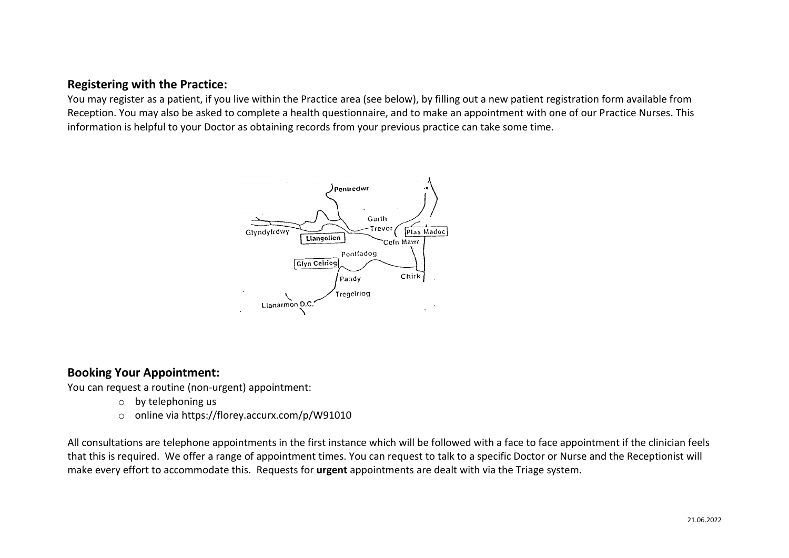# **Registering with the Practice:**

You may register as a patient, if you live within the Practice area (see below), by filling out a new patient registration form available from Reception. You may also be asked to complete a health questionnaire, and to make an appointment with one of our Practice Nurses. This information is helpful to your Doctor as obtaining records from your previous practice can take some time.



## **Booking Your Appointment:**

You can request a routine (non-urgent) appointment:

- o by telephoning us
- o online via https://florey.accurx.com/p/W91010

All consultations are telephone appointments in the first instance which will be followed with a face to face appointment if the clinician feels that this is required. We offer a range of appointment times. You can request to talk to a specific Doctor or Nurse and the Receptionist will make every effort to accommodate this. Requests for **urgent** appointments are dealt with via the Triage system.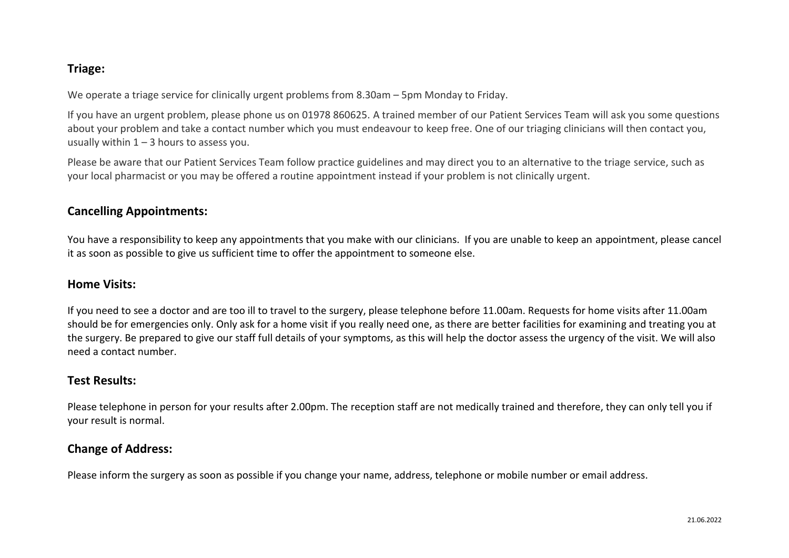# **Triage:**

We operate a triage service for clinically urgent problems from 8.30am – 5pm Monday to Friday.

If you have an urgent problem, please phone us on 01978 860625. A trained member of our Patient Services Team will ask you some questions about your problem and take a contact number which you must endeavour to keep free. One of our triaging clinicians will then contact you, usually within  $1 - 3$  hours to assess you.

Please be aware that our Patient Services Team follow practice guidelines and may direct you to an alternative to the triage service, such as your local pharmacist or you may be offered a routine appointment instead if your problem is not clinically urgent.

# **Cancelling Appointments:**

You have a responsibility to keep any appointments that you make with our clinicians. If you are unable to keep an appointment, please cancel it as soon as possible to give us sufficient time to offer the appointment to someone else.

## **Home Visits:**

If you need to see a doctor and are too ill to travel to the surgery, please telephone before 11.00am. Requests for home visits after 11.00am should be for emergencies only. Only ask for a home visit if you really need one, as there are better facilities for examining and treating you at the surgery. Be prepared to give our staff full details of your symptoms, as this will help the doctor assess the urgency of the visit. We will also need a contact number.

# **Test Results:**

Please telephone in person for your results after 2.00pm. The reception staff are not medically trained and therefore, they can only tell you if your result is normal.

# **Change of Address:**

Please inform the surgery as soon as possible if you change your name, address, telephone or mobile number or email address.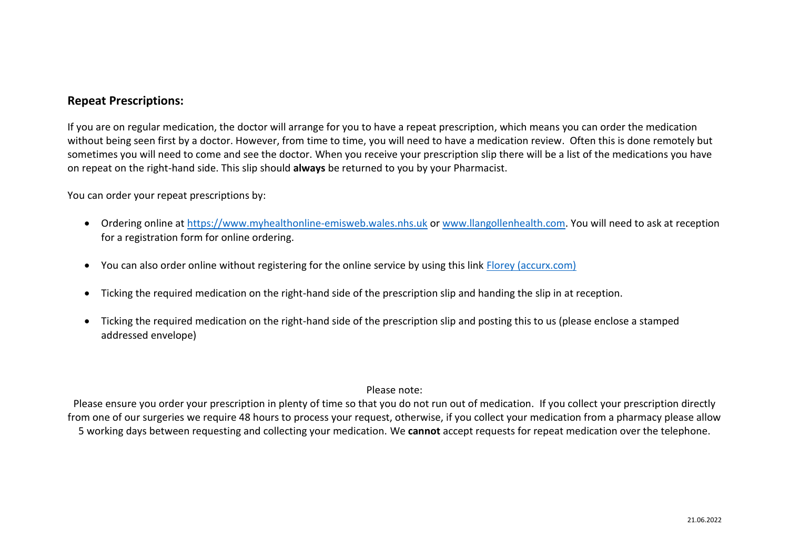## **Repeat Prescriptions:**

If you are on regular medication, the doctor will arrange for you to have a repeat prescription, which means you can order the medication without being seen first by a doctor. However, from time to time, you will need to have a medication review. Often this is done remotely but sometimes you will need to come and see the doctor. When you receive your prescription slip there will be a list of the medications you have on repeat on the right-hand side. This slip should **always** be returned to you by your Pharmacist.

You can order your repeat prescriptions by:

- Ordering online at [https://www.myhealthonline-emisweb.wales.nhs.uk](https://www.myhealthonline-emisweb.wales.nhs.uk/) or [www.llangollenhealth.com.](http://www.llangollenhealth.com/) You will need to ask at reception for a registration form for online ordering.
- You can also order online without registering for the online service by using this link **Florey** (accurx.com)
- Ticking the required medication on the right-hand side of the prescription slip and handing the slip in at reception.
- Ticking the required medication on the right-hand side of the prescription slip and posting this to us (please enclose a stamped addressed envelope)

## Please note:

Please ensure you order your prescription in plenty of time so that you do not run out of medication. If you collect your prescription directly from one of our surgeries we require 48 hours to process your request, otherwise, if you collect your medication from a pharmacy please allow 5 working days between requesting and collecting your medication. We **cannot** accept requests for repeat medication over the telephone.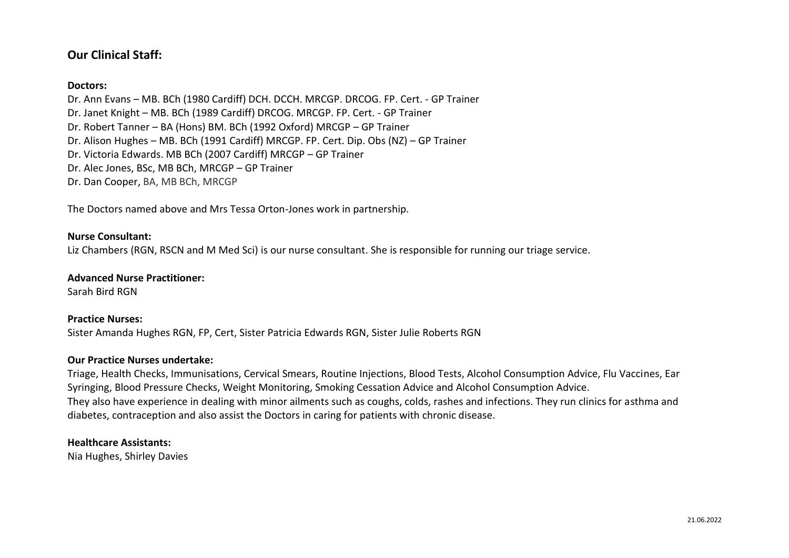# **Our Clinical Staff:**

### **Doctors:**

Dr. Ann Evans – MB. BCh (1980 Cardiff) DCH. DCCH. MRCGP. DRCOG. FP. Cert. - GP Trainer Dr. Janet Knight – MB. BCh (1989 Cardiff) DRCOG. MRCGP. FP. Cert. - GP Trainer Dr. Robert Tanner – BA (Hons) BM. BCh (1992 Oxford) MRCGP – GP Trainer Dr. Alison Hughes – MB. BCh (1991 Cardiff) MRCGP. FP. Cert. Dip. Obs (NZ) – GP Trainer Dr. Victoria Edwards. MB BCh (2007 Cardiff) MRCGP – GP Trainer Dr. Alec Jones, BSc, MB BCh, MRCGP – GP Trainer Dr. Dan Cooper, BA, MB BCh, MRCGP

The Doctors named above and Mrs Tessa Orton-Jones work in partnership.

#### **Nurse Consultant:**

Liz Chambers (RGN, RSCN and M Med Sci) is our nurse consultant. She is responsible for running our triage service.

#### **Advanced Nurse Practitioner:**

Sarah Bird RGN

#### **Practice Nurses:**

Sister Amanda Hughes RGN, FP, Cert, Sister Patricia Edwards RGN, Sister Julie Roberts RGN

#### **Our Practice Nurses undertake:**

Triage, Health Checks, Immunisations, Cervical Smears, Routine Injections, Blood Tests, Alcohol Consumption Advice, Flu Vaccines, Ear Syringing, Blood Pressure Checks, Weight Monitoring, Smoking Cessation Advice and Alcohol Consumption Advice. They also have experience in dealing with minor ailments such as coughs, colds, rashes and infections. They run clinics for asthma and diabetes, contraception and also assist the Doctors in caring for patients with chronic disease.

#### **Healthcare Assistants:**

Nia Hughes, Shirley Davies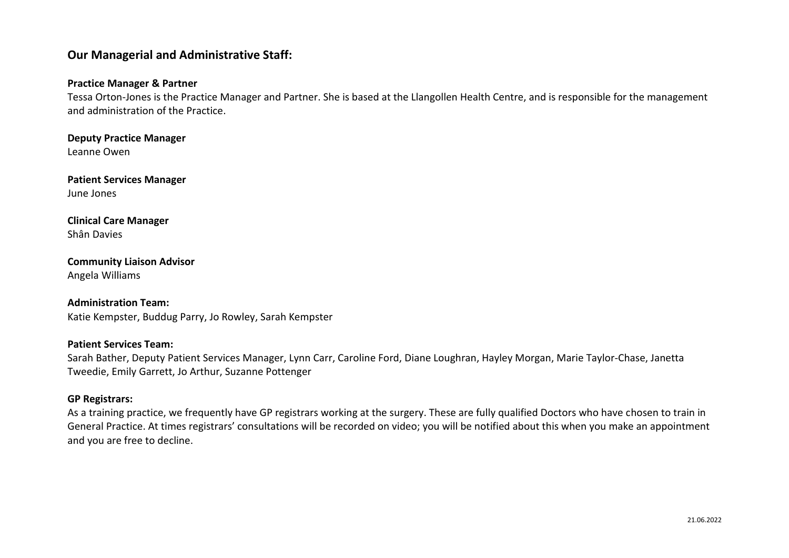# **Our Managerial and Administrative Staff:**

### **Practice Manager & Partner**

Tessa Orton-Jones is the Practice Manager and Partner. She is based at the Llangollen Health Centre, and is responsible for the management and administration of the Practice.

**Deputy Practice Manager** Leanne Owen

**Patient Services Manager** June Jones

# **Clinical Care Manager**

Shân Davies

### **Community Liaison Advisor** Angela Williams

#### **Administration Team:**

Katie Kempster, Buddug Parry, Jo Rowley, Sarah Kempster

#### **Patient Services Team:**

Sarah Bather, Deputy Patient Services Manager, Lynn Carr, Caroline Ford, Diane Loughran, Hayley Morgan, Marie Taylor-Chase, Janetta Tweedie, Emily Garrett, Jo Arthur, Suzanne Pottenger

#### **GP Registrars:**

As a training practice, we frequently have GP registrars working at the surgery. These are fully qualified Doctors who have chosen to train in General Practice. At times registrars' consultations will be recorded on video; you will be notified about this when you make an appointment and you are free to decline.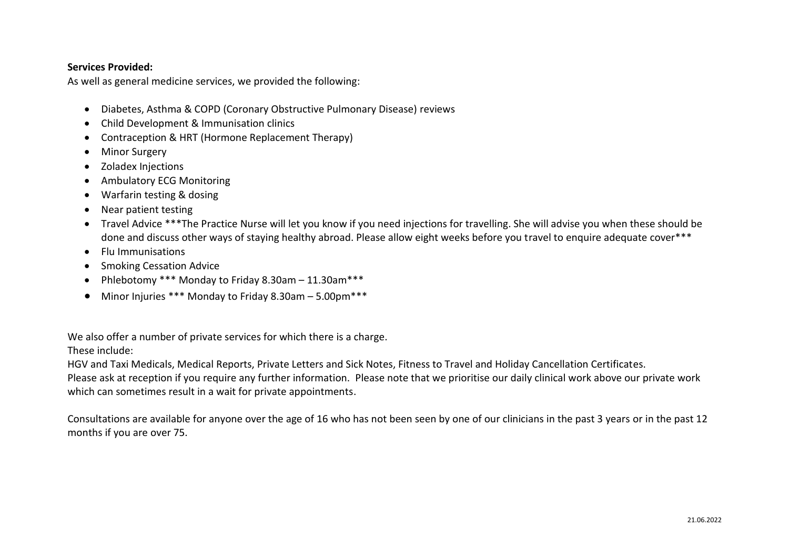### **Services Provided:**

As well as general medicine services, we provided the following:

- Diabetes, Asthma & COPD (Coronary Obstructive Pulmonary Disease) reviews
- Child Development & Immunisation clinics
- Contraception & HRT (Hormone Replacement Therapy)
- Minor Surgery
- Zoladex Injections
- Ambulatory ECG Monitoring
- Warfarin testing & dosing
- Near patient testing
- Travel Advice \*\*\*The Practice Nurse will let you know if you need injections for travelling. She will advise you when these should be done and discuss other ways of staying healthy abroad. Please allow eight weeks before you travel to enquire adequate cover\*\*\*
- Flu Immunisations
- Smoking Cessation Advice
- Phlebotomy \*\*\* Monday to Friday 8.30am 11.30am\*\*\*
- Minor Injuries \*\*\* Monday to Friday 8.30am 5.00pm\*\*\*

We also offer a number of private services for which there is a charge.

These include:

HGV and Taxi Medicals, Medical Reports, Private Letters and Sick Notes, Fitness to Travel and Holiday Cancellation Certificates.

Please ask at reception if you require any further information. Please note that we prioritise our daily clinical work above our private work which can sometimes result in a wait for private appointments.

Consultations are available for anyone over the age of 16 who has not been seen by one of our clinicians in the past 3 years or in the past 12 months if you are over 75.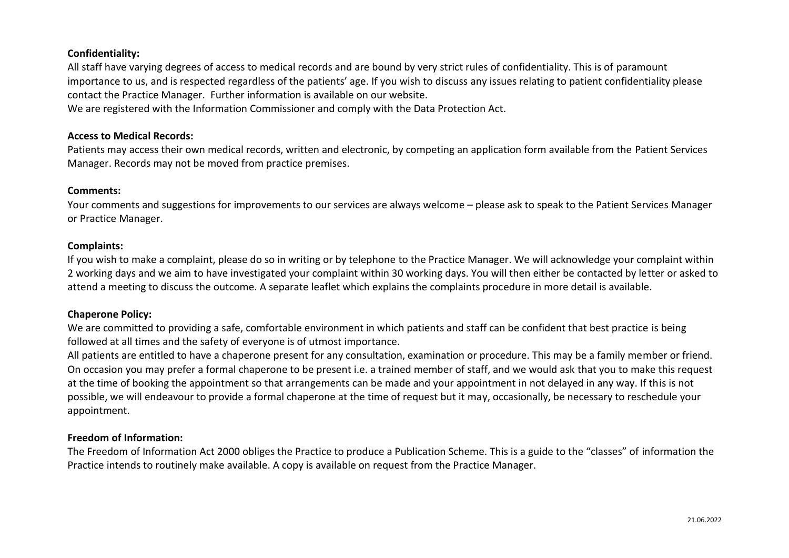## **Confidentiality:**

All staff have varying degrees of access to medical records and are bound by very strict rules of confidentiality. This is of paramount importance to us, and is respected regardless of the patients' age. If you wish to discuss any issues relating to patient confidentiality please contact the Practice Manager. Further information is available on our website.

We are registered with the Information Commissioner and comply with the Data Protection Act.

### **Access to Medical Records:**

Patients may access their own medical records, written and electronic, by competing an application form available from the Patient Services Manager. Records may not be moved from practice premises.

#### **Comments:**

Your comments and suggestions for improvements to our services are always welcome – please ask to speak to the Patient Services Manager or Practice Manager.

### **Complaints:**

If you wish to make a complaint, please do so in writing or by telephone to the Practice Manager. We will acknowledge your complaint within 2 working days and we aim to have investigated your complaint within 30 working days. You will then either be contacted by letter or asked to attend a meeting to discuss the outcome. A separate leaflet which explains the complaints procedure in more detail is available.

## **Chaperone Policy:**

We are committed to providing a safe, comfortable environment in which patients and staff can be confident that best practice is being followed at all times and the safety of everyone is of utmost importance.

All patients are entitled to have a chaperone present for any consultation, examination or procedure. This may be a family member or friend. On occasion you may prefer a formal chaperone to be present i.e. a trained member of staff, and we would ask that you to make this request at the time of booking the appointment so that arrangements can be made and your appointment in not delayed in any way. If this is not possible, we will endeavour to provide a formal chaperone at the time of request but it may, occasionally, be necessary to reschedule your appointment.

## **Freedom of Information:**

The Freedom of Information Act 2000 obliges the Practice to produce a Publication Scheme. This is a guide to the "classes" of information the Practice intends to routinely make available. A copy is available on request from the Practice Manager.